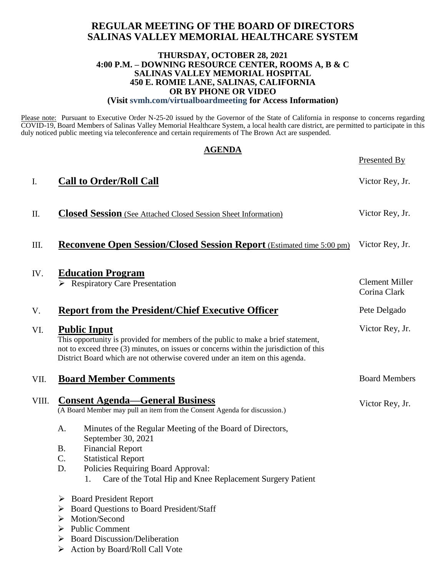## **REGULAR MEETING OF THE BOARD OF DIRECTORS SALINAS VALLEY MEMORIAL HEALTHCARE SYSTEM**

### **THURSDAY, OCTOBER 28, 2021 4:00 P.M. – DOWNING RESOURCE CENTER, ROOMS A, B & C SALINAS VALLEY MEMORIAL HOSPITAL 450 E. ROMIE LANE, SALINAS, CALIFORNIA OR BY PHONE OR VIDEO (Visit svmh.com/virtualboardmeeting for Access Information)**

Please note: Pursuant to Executive Order N-25-20 issued by the Governor of the State of California in response to concerns regarding COVID-19, Board Members of Salinas Valley Memorial Healthcare System, a local health care district, are permitted to participate in this duly noticed public meeting via teleconference and certain requirements of The Brown Act are suspended.

|       | <b>AGENDA</b>                                                                                                                                                                                                                                                                      | <b>Presented By</b>                   |
|-------|------------------------------------------------------------------------------------------------------------------------------------------------------------------------------------------------------------------------------------------------------------------------------------|---------------------------------------|
| I.    | <b>Call to Order/Roll Call</b>                                                                                                                                                                                                                                                     | Victor Rey, Jr.                       |
| П.    | <b>Closed Session</b> (See Attached Closed Session Sheet Information)                                                                                                                                                                                                              | Victor Rey, Jr.                       |
| Ш.    | <b>Reconvene Open Session/Closed Session Report</b> (Estimated time 5:00 pm)                                                                                                                                                                                                       | Victor Rey, Jr.                       |
| IV.   | <b>Education Program</b><br>$\triangleright$ Respiratory Care Presentation                                                                                                                                                                                                         | <b>Clement Miller</b><br>Corina Clark |
| V.    | <b>Report from the President/Chief Executive Officer</b>                                                                                                                                                                                                                           | Pete Delgado                          |
| VI.   | <b>Public Input</b><br>This opportunity is provided for members of the public to make a brief statement,<br>not to exceed three (3) minutes, on issues or concerns within the jurisdiction of this<br>District Board which are not otherwise covered under an item on this agenda. | Victor Rey, Jr.                       |
| VII.  | <b>Board Member Comments</b>                                                                                                                                                                                                                                                       | <b>Board Members</b>                  |
| VIII. | <b>Consent Agenda—General Business</b><br>(A Board Member may pull an item from the Consent Agenda for discussion.)                                                                                                                                                                | Victor Rey, Jr.                       |
|       | Minutes of the Regular Meeting of the Board of Directors,<br>A.<br>September 30, 2021<br><b>Financial Report</b>                                                                                                                                                                   |                                       |
|       | <b>B.</b><br>$\mathcal{C}$ .<br><b>Statistical Report</b><br>D.<br>Policies Requiring Board Approval:<br>Care of the Total Hip and Knee Replacement Surgery Patient<br>1.                                                                                                          |                                       |
|       | $\triangleright$ Board President Report<br><b>Board Questions to Board President/Staff</b><br>Motion/Second<br>➤<br><b>Public Comment</b><br>➤<br><b>Board Discussion/Deliberation</b><br>➤<br>Action by Board/Roll Call Vote<br>➤                                                 |                                       |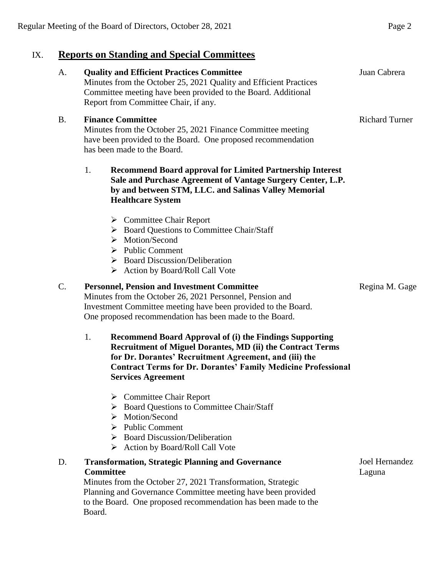# IX. **Reports on Standing and Special Committees**

## A. **Quality and Efficient Practices Committee** Minutes from the October 25, 2021 Quality and Efficient Practices Committee meeting have been provided to the Board. Additional Report from Committee Chair, if any. Juan Cabrera B. **Finance Committee** Minutes from the October 25, 2021 Finance Committee meeting have been provided to the Board. One proposed recommendation has been made to the Board. 1. **Recommend Board approval for Limited Partnership Interest Sale and Purchase Agreement of Vantage Surgery Center, L.P. by and between STM, LLC. and Salinas Valley Memorial Healthcare System**  $\triangleright$  Committee Chair Report  $\triangleright$  Board Questions to Committee Chair/Staff > Motion/Second  $\triangleright$  Public Comment  $\triangleright$  Board Discussion/Deliberation  $\triangleright$  Action by Board/Roll Call Vote Richard Turner

### C. **Personnel, Pension and Investment Committee**

Minutes from the October 26, 2021 Personnel, Pension and Investment Committee meeting have been provided to the Board. One proposed recommendation has been made to the Board.

- 1. **Recommend Board Approval of (i) the Findings Supporting Recruitment of Miguel Dorantes, MD (ii) the Contract Terms for Dr. Dorantes' Recruitment Agreement, and (iii) the Contract Terms for Dr. Dorantes' Family Medicine Professional Services Agreement**
	- **►** Committee Chair Report
	- ▶ Board Questions to Committee Chair/Staff
	- > Motion/Second
	- $\triangleright$  Public Comment
	- $\triangleright$  Board Discussion/Deliberation
	- ▶ Action by Board/Roll Call Vote

### D. **Transformation, Strategic Planning and Governance Committee**

Minutes from the October 27, 2021 Transformation, Strategic Planning and Governance Committee meeting have been provided to the Board. One proposed recommendation has been made to the Board.

Joel Hernandez Laguna

Regina M. Gage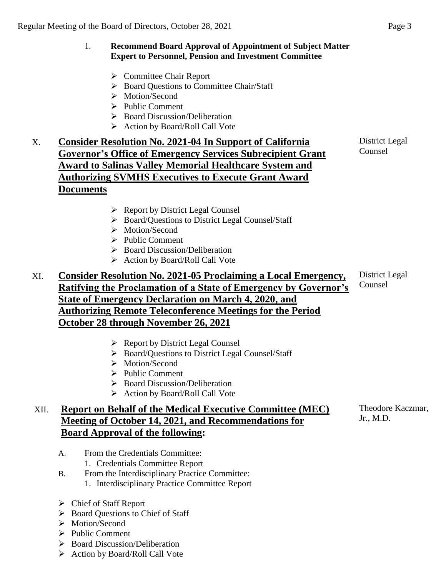### 1. **Recommend Board Approval of Appointment of Subject Matter Expert to Personnel, Pension and Investment Committee**

- **►** Committee Chair Report
- ▶ Board Questions to Committee Chair/Staff
- > Motion/Second
- $\triangleright$  Public Comment
- ▶ Board Discussion/Deliberation
- $\triangleright$  Action by Board/Roll Call Vote

## X. **Consider Resolution No. 2021-04 In Support of California Governor's Office of Emergency Services Subrecipient Grant Award to Salinas Valley Memorial Healthcare System and Authorizing SVMHS Executives to Execute Grant Award Documents**

- $\triangleright$  Report by District Legal Counsel
- Board/Questions to District Legal Counsel/Staff
- > Motion/Second
- $\triangleright$  Public Comment
- $\triangleright$  Board Discussion/Deliberation
- $\triangleright$  Action by Board/Roll Call Vote

#### XI. **Consider Resolution No. 2021-05 Proclaiming a Local Emergency, Ratifying the Proclamation of a State of Emergency by Governor's State of Emergency Declaration on March 4, 2020, and Authorizing Remote Teleconference Meetings for the Period October 28 through November 26, 2021** District Legal Counsel

- $\triangleright$  Report by District Legal Counsel
- ▶ Board/Questions to District Legal Counsel/Staff
- > Motion/Second
- $\triangleright$  Public Comment
- $\triangleright$  Board Discussion/Deliberation
- $\triangleright$  Action by Board/Roll Call Vote

## XII. **Report on Behalf of the Medical Executive Committee (MEC) Meeting of October 14, 2021, and Recommendations for Board Approval of the following:**

- A. From the Credentials Committee:
	- 1. Credentials Committee Report
- B. From the Interdisciplinary Practice Committee:
	- 1. Interdisciplinary Practice Committee Report
- Chief of Staff Report
- ▶ Board Questions to Chief of Staff
- > Motion/Second
- $\triangleright$  Public Comment
- $\triangleright$  Board Discussion/Deliberation
- $\triangleright$  Action by Board/Roll Call Vote

District Legal Counsel

Theodore Kaczmar, Jr., M.D.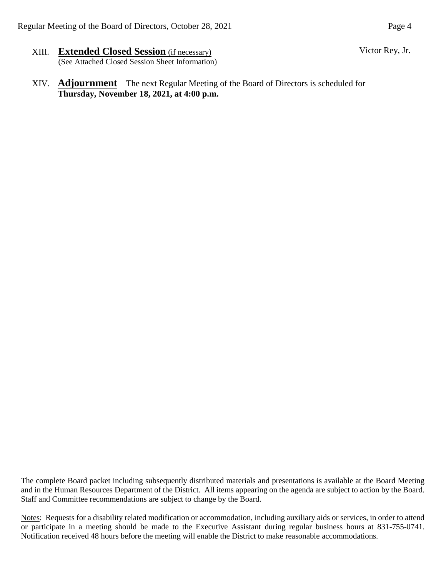- XIII. **Extended Closed Session** (if necessary) (See Attached Closed Session Sheet Information)
- XIV. **Adjournment** The next Regular Meeting of the Board of Directors is scheduled for **Thursday, November 18, 2021, at 4:00 p.m.**

The complete Board packet including subsequently distributed materials and presentations is available at the Board Meeting and in the Human Resources Department of the District. All items appearing on the agenda are subject to action by the Board. Staff and Committee recommendations are subject to change by the Board.

Notes: Requests for a disability related modification or accommodation, including auxiliary aids or services, in order to attend or participate in a meeting should be made to the Executive Assistant during regular business hours at 831-755-0741. Notification received 48 hours before the meeting will enable the District to make reasonable accommodations.

Victor Rey, Jr.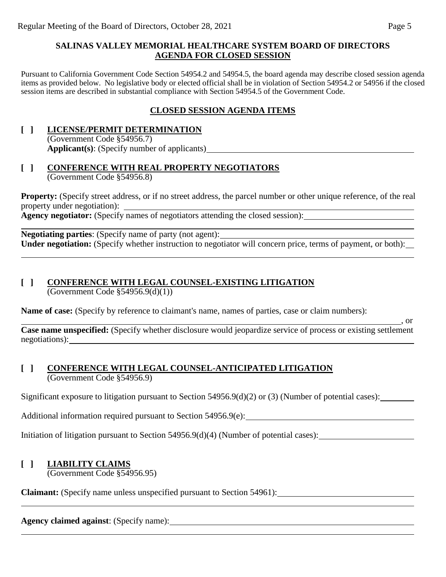### **SALINAS VALLEY MEMORIAL HEALTHCARE SYSTEM BOARD OF DIRECTORS AGENDA FOR CLOSED SESSION**

Pursuant to California Government Code Section 54954.2 and 54954.5, the board agenda may describe closed session agenda items as provided below. No legislative body or elected official shall be in violation of Section 54954.2 or 54956 if the closed session items are described in substantial compliance with Section 54954.5 of the Government Code.

## **CLOSED SESSION AGENDA ITEMS**

### **[ ] LICENSE/PERMIT DETERMINATION** (Government Code §54956.7) **Applicant(s)**: (Specify number of applicants)

### **[ ] CONFERENCE WITH REAL PROPERTY NEGOTIATORS** (Government Code §54956.8)

**Property:** (Specify street address, or if no street address, the parcel number or other unique reference, of the real property under negotiation): **Agency negotiator:** (Specify names of negotiators attending the closed session):

**Negotiating parties**: (Specify name of party (not agent): **Under negotiation:** (Specify whether instruction to negotiator will concern price, terms of payment, or both):

# **[ ] CONFERENCE WITH LEGAL COUNSEL-EXISTING LITIGATION**

 $\overline{(Government Code \$ \$54956.9(d)(1))

**Name of case:** (Specify by reference to claimant's name, names of parties, case or claim numbers):

**Case name unspecified:** (Specify whether disclosure would jeopardize service of process or existing settlement negotiations):

### **[ ] CONFERENCE WITH LEGAL COUNSEL-ANTICIPATED LITIGATION** (Government Code §54956.9)

Significant exposure to litigation pursuant to Section 54956.9(d)(2) or (3) (Number of potential cases):

Additional information required pursuant to Section 54956.9(e):

Initiation of litigation pursuant to Section 54956.9(d)(4) (Number of potential cases):

### **[ ] LIABILITY CLAIMS**

(Government Code §54956.95)

**Claimant:** (Specify name unless unspecified pursuant to Section 54961):

**Agency claimed against**: (Specify name):

 $\overline{\phantom{a}}$ , or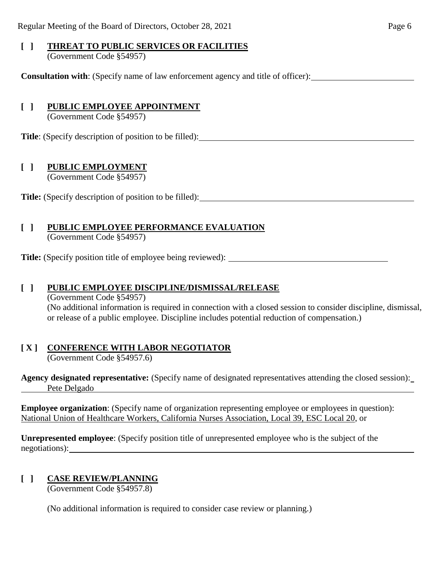# **[ ] THREAT TO PUBLIC SERVICES OR FACILITIES**

(Government Code §54957)

**Consultation with**: (Specify name of law enforcement agency and title of officer):

## **[ ] PUBLIC EMPLOYEE APPOINTMENT**

(Government Code §54957)

**Title**: (Specify description of position to be filled):

## **[ ] PUBLIC EMPLOYMENT**

(Government Code §54957)

**Title:** (Specify description of position to be filled):

## **[ ] PUBLIC EMPLOYEE PERFORMANCE EVALUATION**

(Government Code §54957)

**Title:** (Specify position title of employee being reviewed):

## **[ ] PUBLIC EMPLOYEE DISCIPLINE/DISMISSAL/RELEASE**

(Government Code §54957) (No additional information is required in connection with a closed session to consider discipline, dismissal, or release of a public employee. Discipline includes potential reduction of compensation.)

## **[ X ] CONFERENCE WITH LABOR NEGOTIATOR**

(Government Code §54957.6)

**Agency designated representative:** (Specify name of designated representatives attending the closed session): Pete Delgado

**Employee organization**: (Specify name of organization representing employee or employees in question): National Union of Healthcare Workers, California Nurses Association, Local 39, ESC Local 20, or

**Unrepresented employee**: (Specify position title of unrepresented employee who is the subject of the negotiations):

## **[ ] CASE REVIEW/PLANNING**

(Government Code §54957.8)

(No additional information is required to consider case review or planning.)